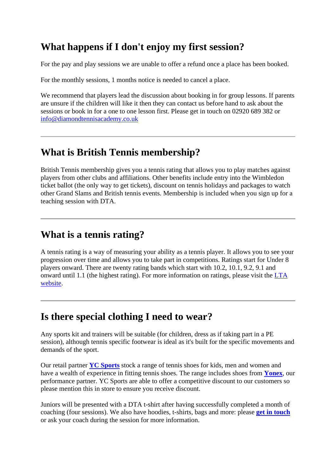# **What happens if I don't enjoy my first session?**

For the pay and play sessions we are unable to offer a refund once a place has been booked.

For the monthly sessions, 1 months notice is needed to cancel a place.

We recommend that players lead the discussion about booking in for group lessons. If parents are unsure if the children will like it then they can contact us before hand to ask about the sessions or book in for a one to one lesson first. Please get in touch on 02920 689 382 or [info@diamondtennisacademy.co.uk](mailto:info@diamondtennisacademy.co.uk)

## **What is British Tennis membership?**

British Tennis membership gives you a tennis rating that allows you to play matches against players from other clubs and affiliations. Other benefits include entry into the Wimbledon ticket ballot (the only way to get tickets), discount on tennis holidays and packages to watch other Grand Slams and British tennis events. Membership is included when you sign up for a teaching session with DTA.

### **What is a tennis rating?**

A tennis rating is a way of measuring your ability as a tennis player. It allows you to see your progression over time and allows you to take part in competitions. Ratings start for Under 8 players onward. There are twenty rating bands which start with 10.2, 10.1, 9.2, 9.1 and onward until 1.1 (the highest rating). For more information on ratings, please visit the [LTA](https://www.lta.org.uk/competitions/player-ratings-rankings/british-tennis-ratings/)  [website.](https://www.lta.org.uk/competitions/player-ratings-rankings/british-tennis-ratings/)

# **Is there special clothing I need to wear?**

Any sports kit and trainers will be suitable (for children, dress as if taking part in a PE session), although tennis specific footwear is ideal as it's built for the specific movements and demands of the sport.

Our retail partner **[YC Sports](http://www.ycsports.com/)** stock a range of tennis shoes for kids, men and women and have a wealth of experience in fitting tennis shoes. The range includes shoes from **[Yonex](http://www.yonex.co.uk/)**, our performance partner. YC Sports are able to offer a competitive discount to our customers so please mention this in store to ensure you receive discount.

Juniors will be presented with a DTA t-shirt after having successfully completed a month of coaching (four sessions). We also have hoodies, t-shirts, bags and more: please **[get in touch](mailto:info@diamondtennisacademy.co.uk)** or ask your coach during the session for more information.